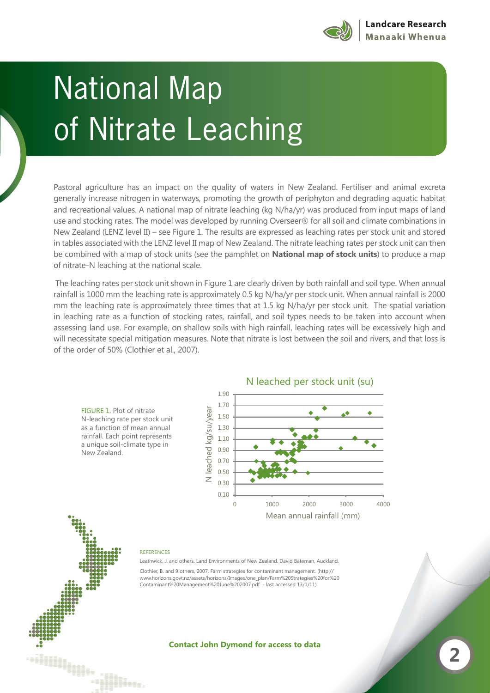

## of Nitrotal An of Nitrate Leaching

Pastoral agriculture has an impact on the quality of waters in New Zealand. Fertiliser and animal excreta generally increase nitrogen in waterways, promoting the growth of periphyton and degrading aquatic habitat and recreational values. A national map of nitrate leaching (kg N/ha/yr) was produced from input maps of land use and stocking rates. The model was developed by running Overseer® for all soil and climate combinations in New Zealand (LENZ level II) – see Figure 1. The results are expressed as leaching rates per stock unit and stored in tables associated with the LENZ level II map of New Zealand. The nitrate leaching rates per stock unit can then be combined with a map of stock units (see the pamphlet on **National map of stock units**) to produce a map of nitrate-N leaching at the national scale.

 The leaching rates per stock unit shown in Figure 1 are clearly driven by both rainfall and soil type. When annual rainfall is 1000 mm the leaching rate is approximately 0.5 kg N/ha/yr per stock unit. When annual rainfall is 2000 mm the leaching rate is approximately three times that at 1.5 kg N/ha/yr per stock unit. The spatial variation in leaching rate as a function of stocking rates, rainfall, and soil types needs to be taken into account when assessing land use. For example, on shallow soils with high rainfall, leaching rates will be excessively high and will necessitate special mitigation measures. Note that nitrate is lost between the soil and rivers, and that loss is of the order of 50% (Clothier et al., 2007).

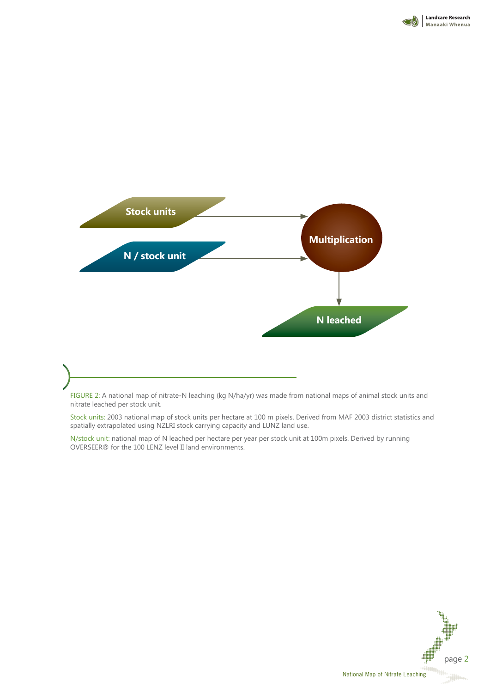



FIGURE 2: A national map of nitrate-N leaching (kg N/ha/yr) was made from national maps of animal stock units and nitrate leached per stock unit.

Stock units: 2003 national map of stock units per hectare at 100 m pixels. Derived from MAF 2003 district statistics and spatially extrapolated using NZLRI stock carrying capacity and LUNZ land use.

N/stock unit: national map of N leached per hectare per year per stock unit at 100m pixels. Derived by running OVERSEER® for the 100 LENZ level II land environments.

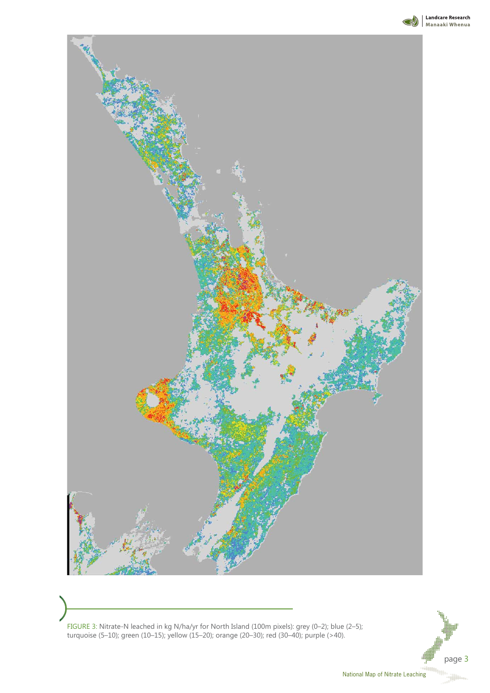



FIGURE 3: Nitrate-N leached in kg N/ha/yr for North Island (100m pixels): grey (0–2); blue (2–5); turquoise (5–10); green (10–15); yellow (15–20); orange (20–30); red (30–40); purple (>40).

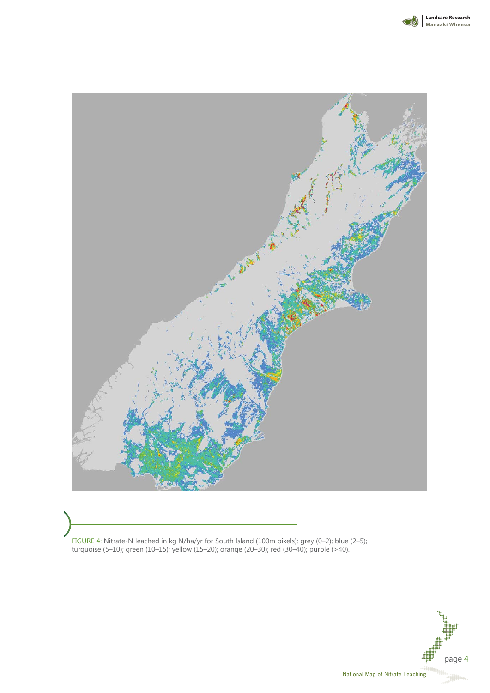



FIGURE 4: Nitrate-N leached in kg N/ha/yr for South Island (100m pixels): grey (0–2); blue (2–5); turquoise (5–10); green (10–15); yellow (15–20); orange (20–30); red (30–40); purple (>40).

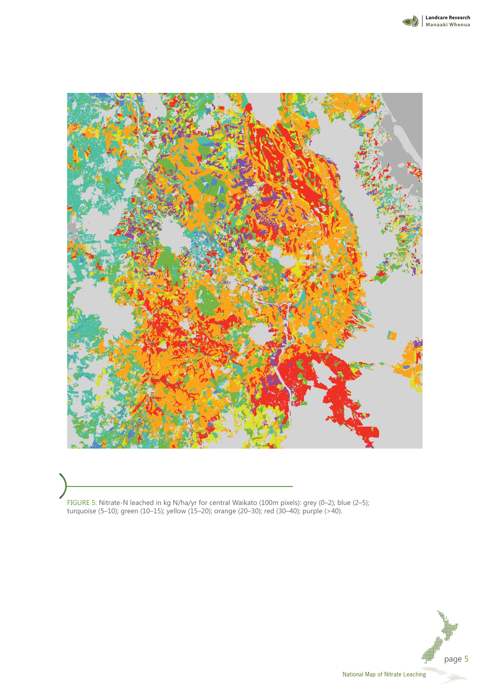



FIGURE 5: Nitrate-N leached in kg N/ha/yr for central Waikato (100m pixels): grey (0–2); blue (2–5); turquoise (5–10); green (10–15); yellow (15–20); orange (20–30); red (30–40); purple (>40).